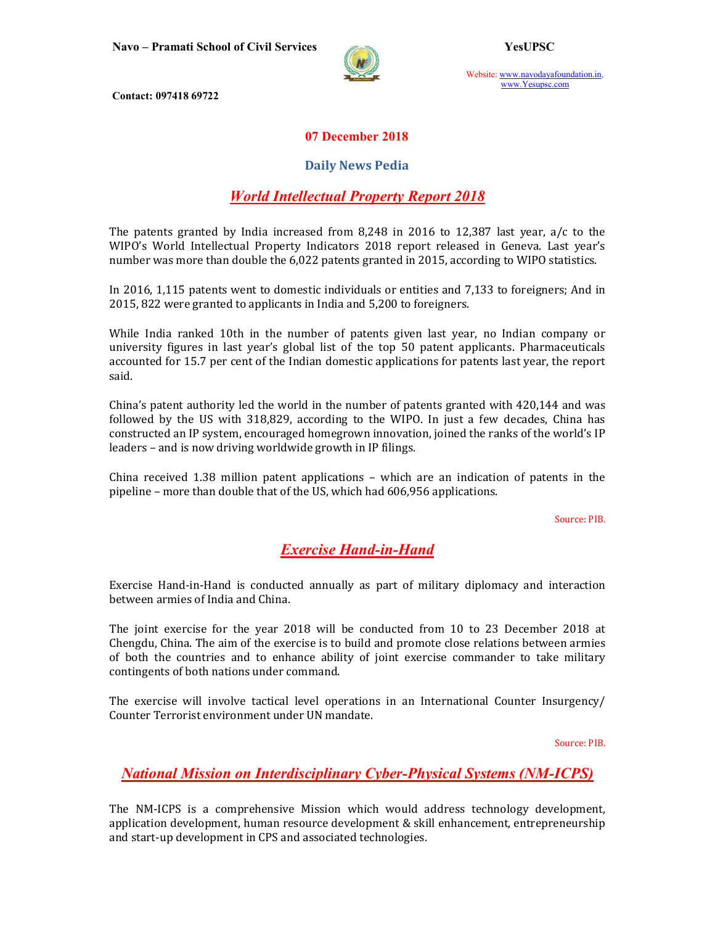

Website: www.navodayafoundation.in, www.Yesupsc.com

Contact: 097418 69722

### 07 December 2018

#### Daily News Pedia

## World Intellectual Property Report 2018

The patents granted by India increased from 8,248 in 2016 to 12,387 last year, a/c to the WIPO's World Intellectual Property Indicators 2018 report released in Geneva. Last year's number was more than double the 6,022 patents granted in 2015, according to WIPO statistics.

In 2016, 1,115 patents went to domestic individuals or entities and 7,133 to foreigners; And in 2015, 822 were granted to applicants in India and 5,200 to foreigners.

While India ranked 10th in the number of patents given last year, no Indian company or university figures in last year's global list of the top 50 patent applicants. Pharmaceuticals accounted for 15.7 per cent of the Indian domestic applications for patents last year, the report said.

China's patent authority led the world in the number of patents granted with 420,144 and was followed by the US with 318,829, according to the WIPO. In just a few decades, China has constructed an IP system, encouraged homegrown innovation, joined the ranks of the world's IP leaders – and is now driving worldwide growth in IP filings.

China received 1.38 million patent applications – which are an indication of patents in the pipeline – more than double that of the US, which had 606,956 applications.

Source: PIB.

# Exercise Hand-in-Hand

Exercise Hand-in-Hand is conducted annually as part of military diplomacy and interaction between armies of India and China.

The joint exercise for the year 2018 will be conducted from 10 to 23 December 2018 at Chengdu, China. The aim of the exercise is to build and promote close relations between armies of both the countries and to enhance ability of joint exercise commander to take military contingents of both nations under command.

The exercise will involve tactical level operations in an International Counter Insurgency/ Counter Terrorist environment under UN mandate.

Source: PIB.

## National Mission on Interdisciplinary Cyber-Physical Systems (NM-ICPS)

The NM-ICPS is a comprehensive Mission which would address technology development, application development, human resource development & skill enhancement, entrepreneurship and start-up development in CPS and associated technologies.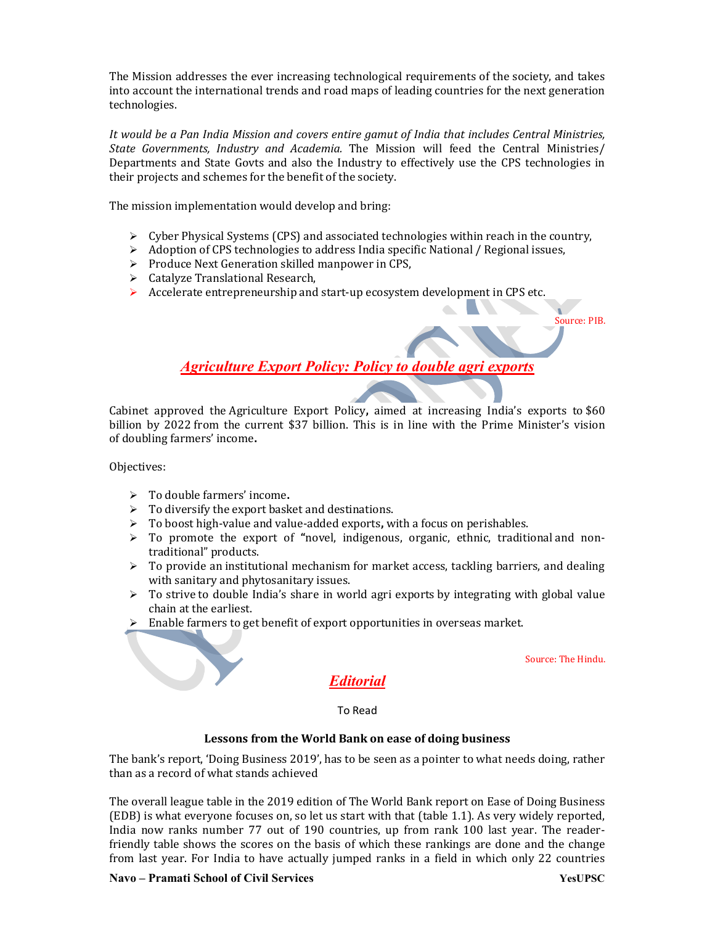The Mission addresses the ever increasing technological requirements of the society, and takes into account the international trends and road maps of leading countries for the next generation technologies.

It would be a Pan India Mission and covers entire gamut of India that includes Central Ministries, State Governments, Industry and Academia. The Mission will feed the Central Ministries/ Departments and State Govts and also the Industry to effectively use the CPS technologies in their projects and schemes for the benefit of the society.

The mission implementation would develop and bring:

Cyber Physical Systems (CPS) and associated technologies within reach in the country,

 $\mathbb{R}^n$ 

- $\triangleright$  Adoption of CPS technologies to address India specific National / Regional issues,
- $\triangleright$  Produce Next Generation skilled manpower in CPS,
- Catalyze Translational Research,
- Accelerate entrepreneurship and start-up ecosystem development in CPS etc.

Source: PIB.

## Agriculture Export Policy: Policy to double agri exports

Cabinet approved the Agriculture Export Policy, aimed at increasing India's exports to \$60 billion by 2022 from the current \$37 billion. This is in line with the Prime Minister's vision of doubling farmers' income.

Objectives:

- $\triangleright$  To double farmers' income.
- $\triangleright$  To diversify the export basket and destinations.
- $\triangleright$  To boost high-value and value-added exports, with a focus on perishables.
- $\triangleright$  To promote the export of "novel, indigenous, organic, ethnic, traditional and nontraditional" products.
- $\triangleright$  To provide an institutional mechanism for market access, tackling barriers, and dealing with sanitary and phytosanitary issues.
- $\triangleright$  To strive to double India's share in world agri exports by integrating with global value chain at the earliest.
- Enable farmers to get benefit of export opportunities in overseas market.

Source: The Hindu.

# Editorial

To Read

#### Lessons from the World Bank on ease of doing business

The bank's report, 'Doing Business 2019', has to be seen as a pointer to what needs doing, rather than as a record of what stands achieved

The overall league table in the 2019 edition of The World Bank report on Ease of Doing Business (EDB) is what everyone focuses on, so let us start with that (table 1.1). As very widely reported, India now ranks number 77 out of 190 countries, up from rank 100 last year. The readerfriendly table shows the scores on the basis of which these rankings are done and the change from last year. For India to have actually jumped ranks in a field in which only 22 countries

#### Navo – Pramati School of Civil Services The Contract of Contract of the VesUPSC VesUPSC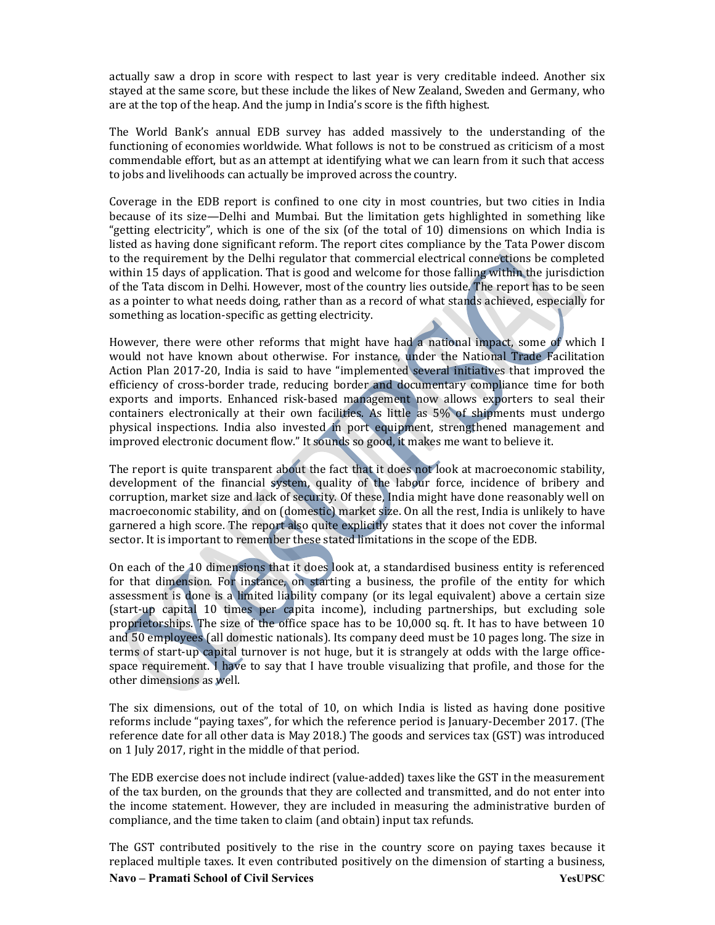actually saw a drop in score with respect to last year is very creditable indeed. Another six stayed at the same score, but these include the likes of New Zealand, Sweden and Germany, who are at the top of the heap. And the jump in India's score is the fifth highest.

The World Bank's annual EDB survey has added massively to the understanding of the functioning of economies worldwide. What follows is not to be construed as criticism of a most commendable effort, but as an attempt at identifying what we can learn from it such that access to jobs and livelihoods can actually be improved across the country.

Coverage in the EDB report is confined to one city in most countries, but two cities in India because of its size—Delhi and Mumbai. But the limitation gets highlighted in something like "getting electricity", which is one of the six (of the total of 10) dimensions on which India is listed as having done significant reform. The report cites compliance by the Tata Power discom to the requirement by the Delhi regulator that commercial electrical connections be completed within 15 days of application. That is good and welcome for those falling within the jurisdiction of the Tata discom in Delhi. However, most of the country lies outside. The report has to be seen as a pointer to what needs doing, rather than as a record of what stands achieved, especially for something as location-specific as getting electricity.

However, there were other reforms that might have had a national impact, some of which I would not have known about otherwise. For instance, under the National Trade Facilitation Action Plan 2017-20, India is said to have "implemented several initiatives that improved the efficiency of cross-border trade, reducing border and documentary compliance time for both exports and imports. Enhanced risk-based management now allows exporters to seal their containers electronically at their own facilities. As little as 5% of shipments must undergo physical inspections. India also invested in port equipment, strengthened management and improved electronic document flow." It sounds so good, it makes me want to believe it.

The report is quite transparent about the fact that it does not look at macroeconomic stability, development of the financial system, quality of the labour force, incidence of bribery and corruption, market size and lack of security. Of these, India might have done reasonably well on macroeconomic stability, and on (domestic) market size. On all the rest, India is unlikely to have garnered a high score. The report also quite explicitly states that it does not cover the informal sector. It is important to remember these stated limitations in the scope of the EDB.

On each of the 10 dimensions that it does look at, a standardised business entity is referenced for that dimension. For instance, on starting a business, the profile of the entity for which assessment is done is a limited liability company (or its legal equivalent) above a certain size (start-up capital 10 times per capita income), including partnerships, but excluding sole proprietorships. The size of the office space has to be 10,000 sq. ft. It has to have between 10 and 50 employees (all domestic nationals). Its company deed must be 10 pages long. The size in terms of start-up capital turnover is not huge, but it is strangely at odds with the large officespace requirement. I have to say that I have trouble visualizing that profile, and those for the other dimensions as well.

The six dimensions, out of the total of 10, on which India is listed as having done positive reforms include "paying taxes", for which the reference period is January-December 2017. (The reference date for all other data is May 2018.) The goods and services tax (GST) was introduced on 1 July 2017, right in the middle of that period.

The EDB exercise does not include indirect (value-added) taxes like the GST in the measurement of the tax burden, on the grounds that they are collected and transmitted, and do not enter into the income statement. However, they are included in measuring the administrative burden of compliance, and the time taken to claim (and obtain) input tax refunds.

Navo – Pramati School of Civil Services YesUPSC The GST contributed positively to the rise in the country score on paying taxes because it replaced multiple taxes. It even contributed positively on the dimension of starting a business,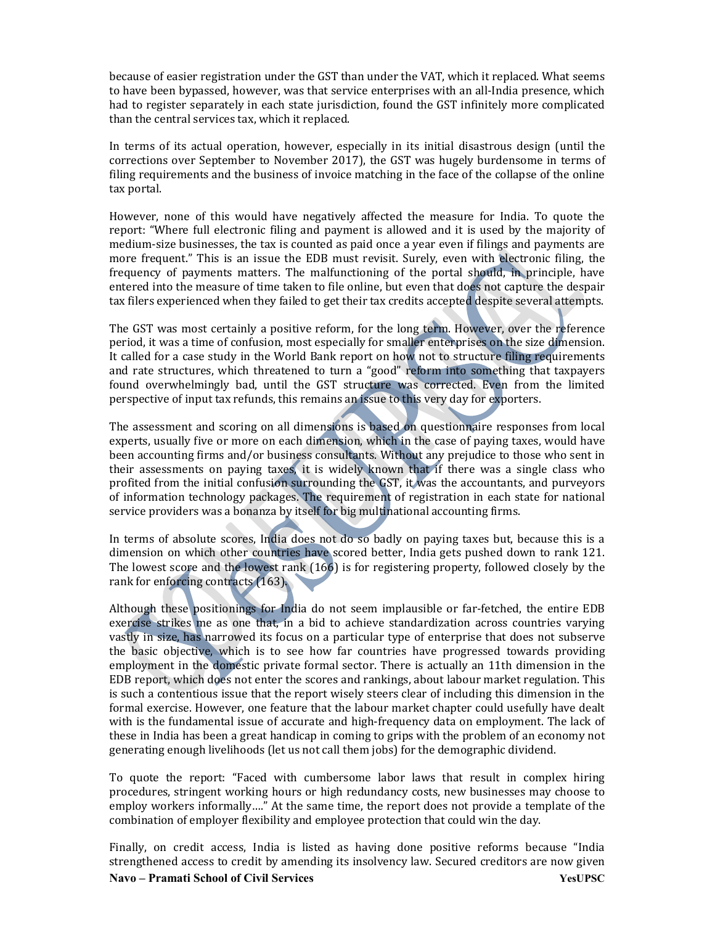because of easier registration under the GST than under the VAT, which it replaced. What seems to have been bypassed, however, was that service enterprises with an all-India presence, which had to register separately in each state jurisdiction, found the GST infinitely more complicated than the central services tax, which it replaced.

In terms of its actual operation, however, especially in its initial disastrous design (until the corrections over September to November 2017), the GST was hugely burdensome in terms of filing requirements and the business of invoice matching in the face of the collapse of the online tax portal.

However, none of this would have negatively affected the measure for India. To quote the report: "Where full electronic filing and payment is allowed and it is used by the majority of medium-size businesses, the tax is counted as paid once a year even if filings and payments are more frequent." This is an issue the EDB must revisit. Surely, even with electronic filing, the frequency of payments matters. The malfunctioning of the portal should, in principle, have entered into the measure of time taken to file online, but even that does not capture the despair tax filers experienced when they failed to get their tax credits accepted despite several attempts.

The GST was most certainly a positive reform, for the long term. However, over the reference period, it was a time of confusion, most especially for smaller enterprises on the size dimension. It called for a case study in the World Bank report on how not to structure filing requirements and rate structures, which threatened to turn a "good" reform into something that taxpayers found overwhelmingly bad, until the GST structure was corrected. Even from the limited perspective of input tax refunds, this remains an issue to this very day for exporters.

The assessment and scoring on all dimensions is based on questionnaire responses from local experts, usually five or more on each dimension, which in the case of paying taxes, would have been accounting firms and/or business consultants. Without any prejudice to those who sent in their assessments on paying taxes, it is widely known that if there was a single class who profited from the initial confusion surrounding the GST, it was the accountants, and purveyors of information technology packages. The requirement of registration in each state for national service providers was a bonanza by itself for big multinational accounting firms.

In terms of absolute scores, India does not do so badly on paying taxes but, because this is a dimension on which other countries have scored better, India gets pushed down to rank 121. The lowest score and the lowest rank (166) is for registering property, followed closely by the rank for enforcing contracts (163).

Although these positionings for India do not seem implausible or far-fetched, the entire EDB exercise strikes me as one that, in a bid to achieve standardization across countries varying vastly in size, has narrowed its focus on a particular type of enterprise that does not subserve the basic objective, which is to see how far countries have progressed towards providing employment in the domestic private formal sector. There is actually an 11th dimension in the EDB report, which does not enter the scores and rankings, about labour market regulation. This is such a contentious issue that the report wisely steers clear of including this dimension in the formal exercise. However, one feature that the labour market chapter could usefully have dealt with is the fundamental issue of accurate and high-frequency data on employment. The lack of these in India has been a great handicap in coming to grips with the problem of an economy not generating enough livelihoods (let us not call them jobs) for the demographic dividend.

To quote the report: "Faced with cumbersome labor laws that result in complex hiring procedures, stringent working hours or high redundancy costs, new businesses may choose to employ workers informally…." At the same time, the report does not provide a template of the combination of employer flexibility and employee protection that could win the day.

Navo – Pramati School of Civil Services YesUPSC Finally, on credit access, India is listed as having done positive reforms because "India strengthened access to credit by amending its insolvency law. Secured creditors are now given